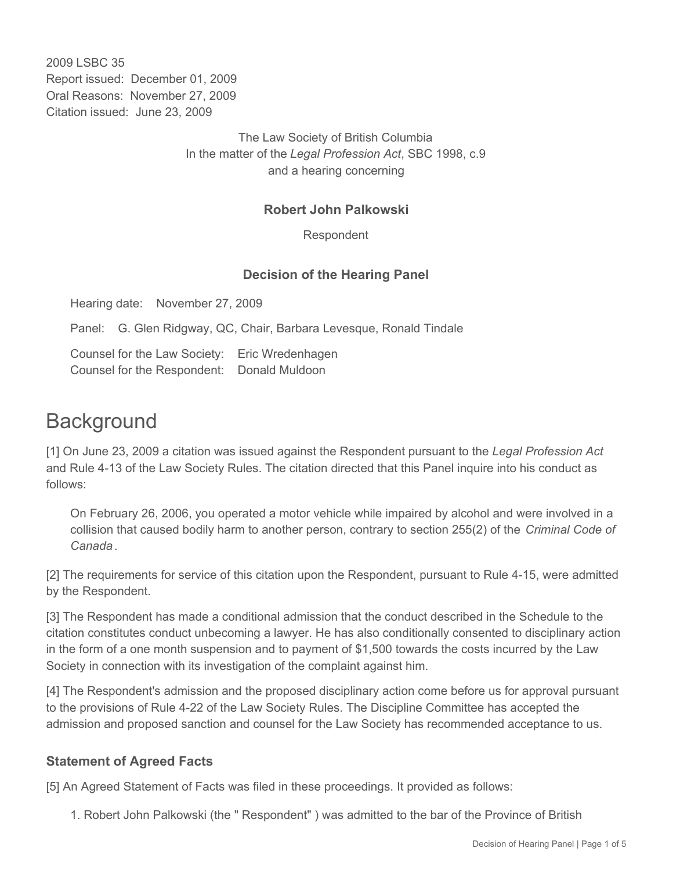2009 LSBC 35 Report issued: December 01, 2009 Oral Reasons: November 27, 2009 Citation issued: June 23, 2009

> The Law Society of British Columbia In the matter of the *Legal Profession Act*, SBC 1998, c.9 and a hearing concerning

### **Robert John Palkowski**

Respondent

## **Decision of the Hearing Panel**

Hearing date: November 27, 2009

Panel: G. Glen Ridgway, QC, Chair, Barbara Levesque, Ronald Tindale

Counsel for the Law Society: Eric Wredenhagen Counsel for the Respondent: Donald Muldoon

# **Background**

[1] On June 23, 2009 a citation was issued against the Respondent pursuant to the *Legal Profession Act*  and Rule 4-13 of the Law Society Rules. The citation directed that this Panel inquire into his conduct as follows:

On February 26, 2006, you operated a motor vehicle while impaired by alcohol and were involved in a collision that caused bodily harm to another person, contrary to section 255(2) of the *Criminal Code of Canada*.

[2] The requirements for service of this citation upon the Respondent, pursuant to Rule 4-15, were admitted by the Respondent.

[3] The Respondent has made a conditional admission that the conduct described in the Schedule to the citation constitutes conduct unbecoming a lawyer. He has also conditionally consented to disciplinary action in the form of a one month suspension and to payment of \$1,500 towards the costs incurred by the Law Society in connection with its investigation of the complaint against him.

[4] The Respondent's admission and the proposed disciplinary action come before us for approval pursuant to the provisions of Rule 4-22 of the Law Society Rules. The Discipline Committee has accepted the admission and proposed sanction and counsel for the Law Society has recommended acceptance to us.

#### **Statement of Agreed Facts**

[5] An Agreed Statement of Facts was filed in these proceedings. It provided as follows:

1. Robert John Palkowski (the " Respondent" ) was admitted to the bar of the Province of British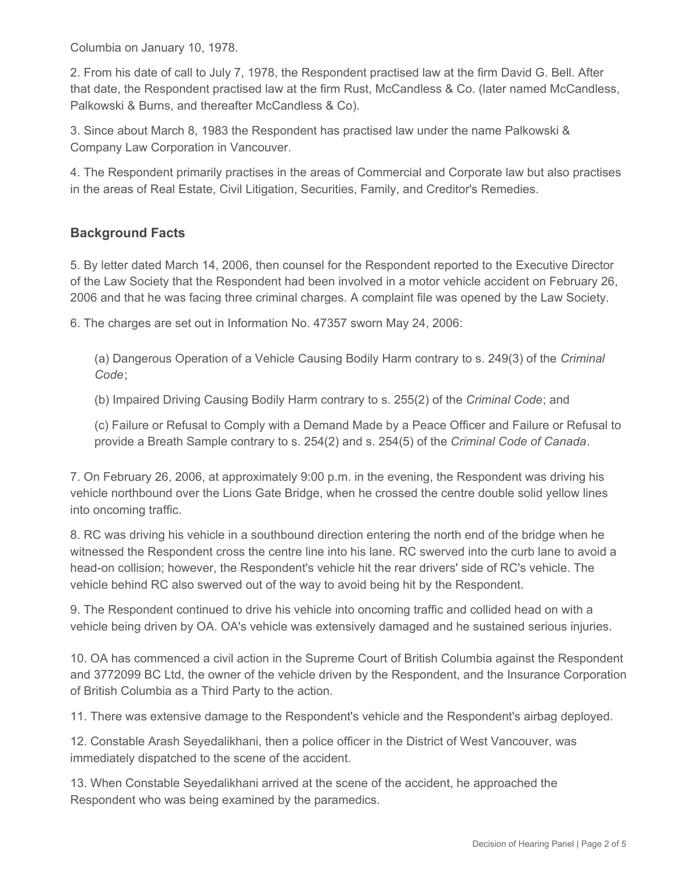Columbia on January 10, 1978.

2. From his date of call to July 7, 1978, the Respondent practised law at the firm David G. Bell. After that date, the Respondent practised law at the firm Rust, McCandless & Co. (later named McCandless, Palkowski & Burns, and thereafter McCandless & Co).

3. Since about March 8, 1983 the Respondent has practised law under the name Palkowski & Company Law Corporation in Vancouver.

4. The Respondent primarily practises in the areas of Commercial and Corporate law but also practises in the areas of Real Estate, Civil Litigation, Securities, Family, and Creditor's Remedies.

## **Background Facts**

5. By letter dated March 14, 2006, then counsel for the Respondent reported to the Executive Director of the Law Society that the Respondent had been involved in a motor vehicle accident on February 26, 2006 and that he was facing three criminal charges. A complaint file was opened by the Law Society.

6. The charges are set out in Information No. 47357 sworn May 24, 2006:

(a) Dangerous Operation of a Vehicle Causing Bodily Harm contrary to s. 249(3) of the *Criminal Code*;

(b) Impaired Driving Causing Bodily Harm contrary to s. 255(2) of the *Criminal Code*; and

(c) Failure or Refusal to Comply with a Demand Made by a Peace Officer and Failure or Refusal to provide a Breath Sample contrary to s. 254(2) and s. 254(5) of the *Criminal Code of Canada*.

7. On February 26, 2006, at approximately 9:00 p.m. in the evening, the Respondent was driving his vehicle northbound over the Lions Gate Bridge, when he crossed the centre double solid yellow lines into oncoming traffic.

8. RC was driving his vehicle in a southbound direction entering the north end of the bridge when he witnessed the Respondent cross the centre line into his lane. RC swerved into the curb lane to avoid a head-on collision; however, the Respondent's vehicle hit the rear drivers' side of RC's vehicle. The vehicle behind RC also swerved out of the way to avoid being hit by the Respondent.

9. The Respondent continued to drive his vehicle into oncoming traffic and collided head on with a vehicle being driven by OA. OA's vehicle was extensively damaged and he sustained serious injuries.

10. OA has commenced a civil action in the Supreme Court of British Columbia against the Respondent and 3772099 BC Ltd, the owner of the vehicle driven by the Respondent, and the Insurance Corporation of British Columbia as a Third Party to the action.

11. There was extensive damage to the Respondent's vehicle and the Respondent's airbag deployed.

12. Constable Arash Seyedalikhani, then a police officer in the District of West Vancouver, was immediately dispatched to the scene of the accident.

13. When Constable Seyedalikhani arrived at the scene of the accident, he approached the Respondent who was being examined by the paramedics.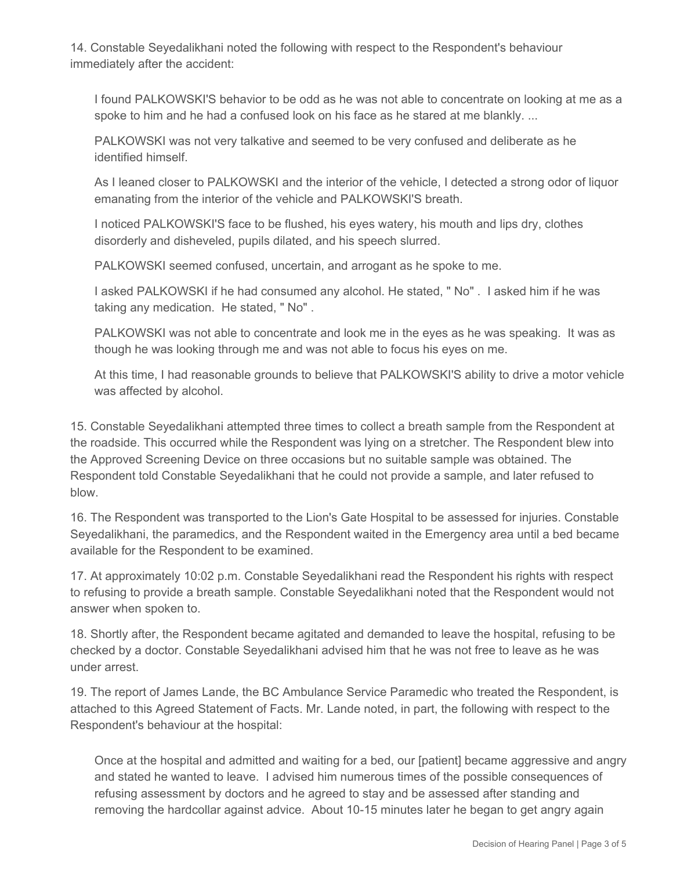14. Constable Seyedalikhani noted the following with respect to the Respondent's behaviour immediately after the accident:

I found PALKOWSKI'S behavior to be odd as he was not able to concentrate on looking at me as a spoke to him and he had a confused look on his face as he stared at me blankly. ...

PALKOWSKI was not very talkative and seemed to be very confused and deliberate as he identified himself.

As I leaned closer to PALKOWSKI and the interior of the vehicle, I detected a strong odor of liquor emanating from the interior of the vehicle and PALKOWSKI'S breath.

I noticed PALKOWSKI'S face to be flushed, his eyes watery, his mouth and lips dry, clothes disorderly and disheveled, pupils dilated, and his speech slurred.

PALKOWSKI seemed confused, uncertain, and arrogant as he spoke to me.

I asked PALKOWSKI if he had consumed any alcohol. He stated, " No" . I asked him if he was taking any medication. He stated, " No" .

PALKOWSKI was not able to concentrate and look me in the eyes as he was speaking. It was as though he was looking through me and was not able to focus his eyes on me.

At this time, I had reasonable grounds to believe that PALKOWSKI'S ability to drive a motor vehicle was affected by alcohol.

15. Constable Seyedalikhani attempted three times to collect a breath sample from the Respondent at the roadside. This occurred while the Respondent was lying on a stretcher. The Respondent blew into the Approved Screening Device on three occasions but no suitable sample was obtained. The Respondent told Constable Seyedalikhani that he could not provide a sample, and later refused to blow.

16. The Respondent was transported to the Lion's Gate Hospital to be assessed for injuries. Constable Seyedalikhani, the paramedics, and the Respondent waited in the Emergency area until a bed became available for the Respondent to be examined.

17. At approximately 10:02 p.m. Constable Seyedalikhani read the Respondent his rights with respect to refusing to provide a breath sample. Constable Seyedalikhani noted that the Respondent would not answer when spoken to.

18. Shortly after, the Respondent became agitated and demanded to leave the hospital, refusing to be checked by a doctor. Constable Seyedalikhani advised him that he was not free to leave as he was under arrest.

19. The report of James Lande, the BC Ambulance Service Paramedic who treated the Respondent, is attached to this Agreed Statement of Facts. Mr. Lande noted, in part, the following with respect to the Respondent's behaviour at the hospital:

Once at the hospital and admitted and waiting for a bed, our [patient] became aggressive and angry and stated he wanted to leave. I advised him numerous times of the possible consequences of refusing assessment by doctors and he agreed to stay and be assessed after standing and removing the hardcollar against advice. About 10-15 minutes later he began to get angry again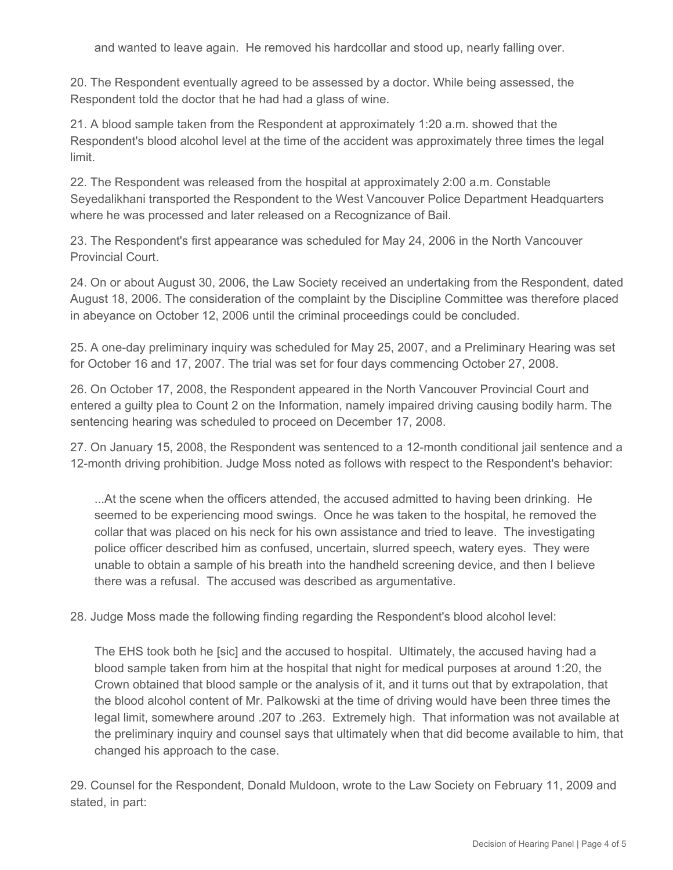and wanted to leave again. He removed his hardcollar and stood up, nearly falling over.

20. The Respondent eventually agreed to be assessed by a doctor. While being assessed, the Respondent told the doctor that he had had a glass of wine.

21. A blood sample taken from the Respondent at approximately 1:20 a.m. showed that the Respondent's blood alcohol level at the time of the accident was approximately three times the legal limit.

22. The Respondent was released from the hospital at approximately 2:00 a.m. Constable Seyedalikhani transported the Respondent to the West Vancouver Police Department Headquarters where he was processed and later released on a Recognizance of Bail.

23. The Respondent's first appearance was scheduled for May 24, 2006 in the North Vancouver Provincial Court.

24. On or about August 30, 2006, the Law Society received an undertaking from the Respondent, dated August 18, 2006. The consideration of the complaint by the Discipline Committee was therefore placed in abeyance on October 12, 2006 until the criminal proceedings could be concluded.

25. A one-day preliminary inquiry was scheduled for May 25, 2007, and a Preliminary Hearing was set for October 16 and 17, 2007. The trial was set for four days commencing October 27, 2008.

26. On October 17, 2008, the Respondent appeared in the North Vancouver Provincial Court and entered a guilty plea to Count 2 on the Information, namely impaired driving causing bodily harm. The sentencing hearing was scheduled to proceed on December 17, 2008.

27. On January 15, 2008, the Respondent was sentenced to a 12-month conditional jail sentence and a 12-month driving prohibition. Judge Moss noted as follows with respect to the Respondent's behavior:

...At the scene when the officers attended, the accused admitted to having been drinking. He seemed to be experiencing mood swings. Once he was taken to the hospital, he removed the collar that was placed on his neck for his own assistance and tried to leave. The investigating police officer described him as confused, uncertain, slurred speech, watery eyes. They were unable to obtain a sample of his breath into the handheld screening device, and then I believe there was a refusal. The accused was described as argumentative.

28. Judge Moss made the following finding regarding the Respondent's blood alcohol level:

The EHS took both he [sic] and the accused to hospital. Ultimately, the accused having had a blood sample taken from him at the hospital that night for medical purposes at around 1:20, the Crown obtained that blood sample or the analysis of it, and it turns out that by extrapolation, that the blood alcohol content of Mr. Palkowski at the time of driving would have been three times the legal limit, somewhere around .207 to .263. Extremely high. That information was not available at the preliminary inquiry and counsel says that ultimately when that did become available to him, that changed his approach to the case.

29. Counsel for the Respondent, Donald Muldoon, wrote to the Law Society on February 11, 2009 and stated, in part: